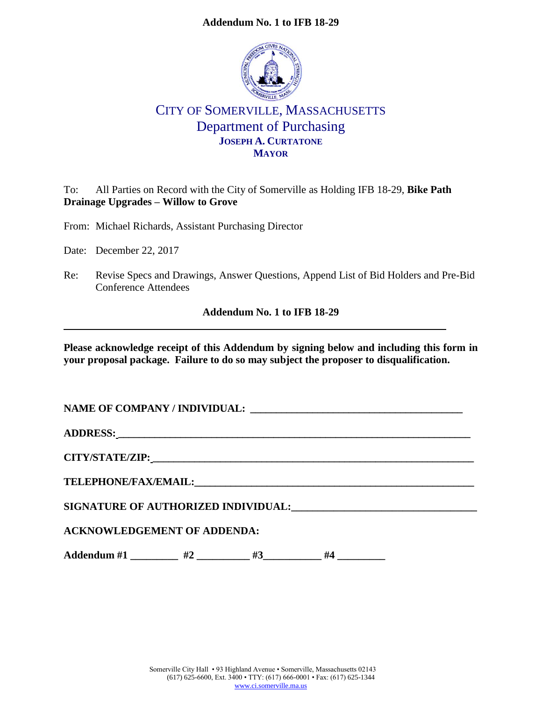### **Addendum No. 1 to IFB 18-29**



# CITY OF SOMERVILLE, MASSACHUSETTS Department of Purchasing **JOSEPH A. CURTATONE MAYOR**

To: All Parties on Record with the City of Somerville as Holding IFB 18-29, **Bike Path Drainage Upgrades – Willow to Grove**

From: Michael Richards, Assistant Purchasing Director

Date: December 22, 2017

Re: Revise Specs and Drawings, Answer Questions, Append List of Bid Holders and Pre-Bid Conference Attendees

**Addendum No. 1 to IFB 18-29**

**Please acknowledge receipt of this Addendum by signing below and including this form in your proposal package. Failure to do so may subject the proposer to disqualification.**

**NAME OF COMPANY / INDIVIDUAL: \_\_\_\_\_\_\_\_\_\_\_\_\_\_\_\_\_\_\_\_\_\_\_\_\_\_\_\_\_\_\_\_\_\_\_\_\_\_\_\_\_ ADDRESS: \_\_\_\_\_\_\_\_\_\_\_\_\_\_\_\_\_\_\_\_\_\_\_\_\_\_\_\_\_\_\_\_\_\_\_\_\_\_\_\_\_\_\_\_\_\_\_\_\_\_\_\_\_\_\_\_\_\_\_\_\_\_\_\_\_\_\_\_ CITY/STATE/ZIP: \_\_\_\_\_\_\_\_\_\_\_\_\_\_\_\_\_\_\_\_\_\_\_\_\_\_\_\_\_\_\_\_\_\_\_\_\_\_\_\_\_\_\_\_\_\_\_\_\_\_\_\_\_\_\_\_\_\_\_\_\_\_ TELEPHONE/FAX/EMAIL:\_\_\_\_\_\_\_\_\_\_\_\_\_\_\_\_\_\_\_\_\_\_\_\_\_\_\_\_\_\_\_\_\_\_\_\_\_\_\_\_\_\_\_\_\_\_\_\_\_\_\_\_\_\_ SIGNATURE OF AUTHORIZED INDIVIDUAL:\_\_\_\_\_\_\_\_\_\_\_\_\_\_\_\_\_\_\_\_\_\_\_\_\_\_\_\_\_\_\_\_\_\_\_ ACKNOWLEDGEMENT OF ADDENDA:** Addendum #1 \_\_\_\_\_\_\_\_\_ #2 \_\_\_\_\_\_\_ #3 \_\_\_\_\_\_ #4 \_\_\_\_\_\_\_\_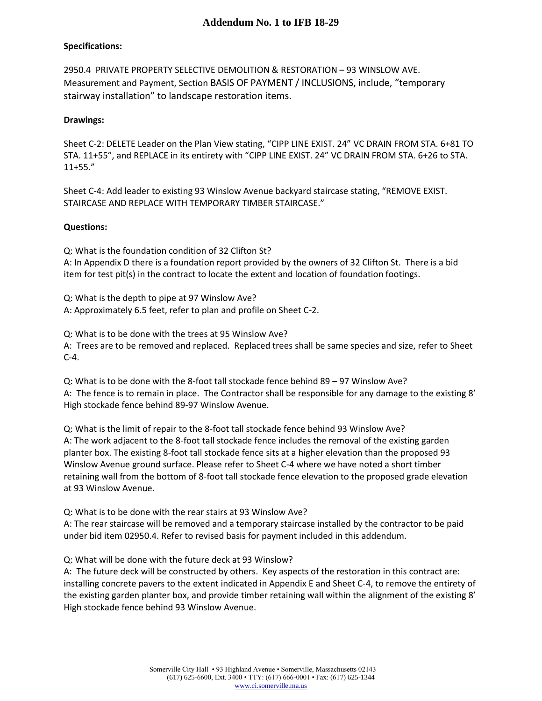### **Specifications:**

2950.4 PRIVATE PROPERTY SELECTIVE DEMOLITION & RESTORATION – 93 WINSLOW AVE. Measurement and Payment, Section BASIS OF PAYMENT / INCLUSIONS, include, "temporary stairway installation" to landscape restoration items.

#### **Drawings:**

Sheet C-2: DELETE Leader on the Plan View stating, "CIPP LINE EXIST. 24" VC DRAIN FROM STA. 6+81 TO STA. 11+55", and REPLACE in its entirety with "CIPP LINE EXIST. 24" VC DRAIN FROM STA. 6+26 to STA. 11+55."

Sheet C-4: Add leader to existing 93 Winslow Avenue backyard staircase stating, "REMOVE EXIST. STAIRCASE AND REPLACE WITH TEMPORARY TIMBER STAIRCASE."

#### **Questions:**

Q: What is the foundation condition of 32 Clifton St? A: In Appendix D there is a foundation report provided by the owners of 32 Clifton St. There is a bid item for test pit(s) in the contract to locate the extent and location of foundation footings.

Q: What is the depth to pipe at 97 Winslow Ave? A: Approximately 6.5 feet, refer to plan and profile on Sheet C-2.

Q: What is to be done with the trees at 95 Winslow Ave?

A: Trees are to be removed and replaced. Replaced trees shall be same species and size, refer to Sheet C-4.

Q: What is to be done with the 8-foot tall stockade fence behind 89 – 97 Winslow Ave? A: The fence is to remain in place. The Contractor shall be responsible for any damage to the existing 8' High stockade fence behind 89-97 Winslow Avenue.

Q: What is the limit of repair to the 8-foot tall stockade fence behind 93 Winslow Ave? A: The work adjacent to the 8-foot tall stockade fence includes the removal of the existing garden planter box. The existing 8-foot tall stockade fence sits at a higher elevation than the proposed 93 Winslow Avenue ground surface. Please refer to Sheet C-4 where we have noted a short timber retaining wall from the bottom of 8-foot tall stockade fence elevation to the proposed grade elevation at 93 Winslow Avenue.

Q: What is to be done with the rear stairs at 93 Winslow Ave?

A: The rear staircase will be removed and a temporary staircase installed by the contractor to be paid under bid item 02950.4. Refer to revised basis for payment included in this addendum.

Q: What will be done with the future deck at 93 Winslow?

A: The future deck will be constructed by others. Key aspects of the restoration in this contract are: installing concrete pavers to the extent indicated in Appendix E and Sheet C-4, to remove the entirety of the existing garden planter box, and provide timber retaining wall within the alignment of the existing 8' High stockade fence behind 93 Winslow Avenue.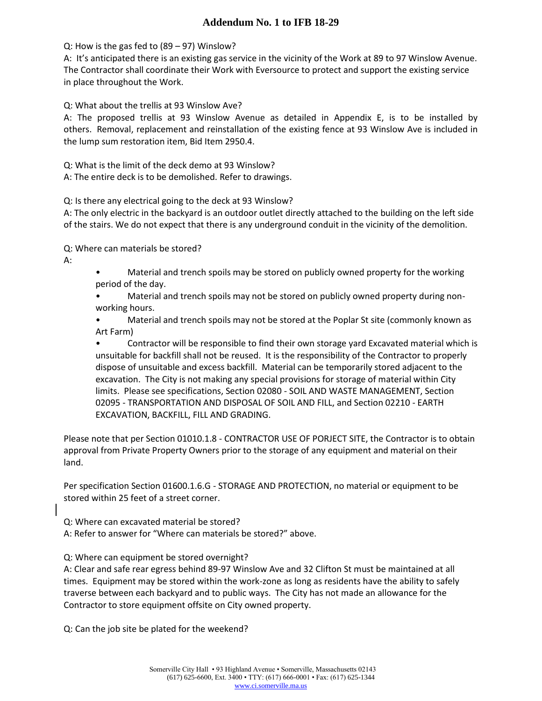## **Addendum No. 1 to IFB 18-29**

Q: How is the gas fed to (89 – 97) Winslow?

A: It's anticipated there is an existing gas service in the vicinity of the Work at 89 to 97 Winslow Avenue. The Contractor shall coordinate their Work with Eversource to protect and support the existing service in place throughout the Work.

Q: What about the trellis at 93 Winslow Ave?

A: The proposed trellis at 93 Winslow Avenue as detailed in Appendix E, is to be installed by others. Removal, replacement and reinstallation of the existing fence at 93 Winslow Ave is included in the lump sum restoration item, Bid Item 2950.4.

Q: What is the limit of the deck demo at 93 Winslow?

A: The entire deck is to be demolished. Refer to drawings.

Q: Is there any electrical going to the deck at 93 Winslow?

A: The only electric in the backyard is an outdoor outlet directly attached to the building on the left side of the stairs. We do not expect that there is any underground conduit in the vicinity of the demolition.

Q: Where can materials be stored?

A:

• Material and trench spoils may be stored on publicly owned property for the working period of the day.

• Material and trench spoils may not be stored on publicly owned property during nonworking hours.

• Material and trench spoils may not be stored at the Poplar St site (commonly known as Art Farm)

• Contractor will be responsible to find their own storage yard Excavated material which is unsuitable for backfill shall not be reused. It is the responsibility of the Contractor to properly dispose of unsuitable and excess backfill. Material can be temporarily stored adjacent to the excavation. The City is not making any special provisions for storage of material within City limits. Please see specifications, Section 02080 - SOIL AND WASTE MANAGEMENT, Section 02095 - TRANSPORTATION AND DISPOSAL OF SOIL AND FILL, and Section 02210 - EARTH EXCAVATION, BACKFILL, FILL AND GRADING.

Please note that per Section 01010.1.8 - CONTRACTOR USE OF PORJECT SITE, the Contractor is to obtain approval from Private Property Owners prior to the storage of any equipment and material on their land.

Per specification Section 01600.1.6.G - STORAGE AND PROTECTION, no material or equipment to be stored within 25 feet of a street corner.

Q: Where can excavated material be stored? A: Refer to answer for "Where can materials be stored?" above.

Q: Where can equipment be stored overnight?

A: Clear and safe rear egress behind 89-97 Winslow Ave and 32 Clifton St must be maintained at all times. Equipment may be stored within the work-zone as long as residents have the ability to safely traverse between each backyard and to public ways. The City has not made an allowance for the Contractor to store equipment offsite on City owned property.

Q: Can the job site be plated for the weekend?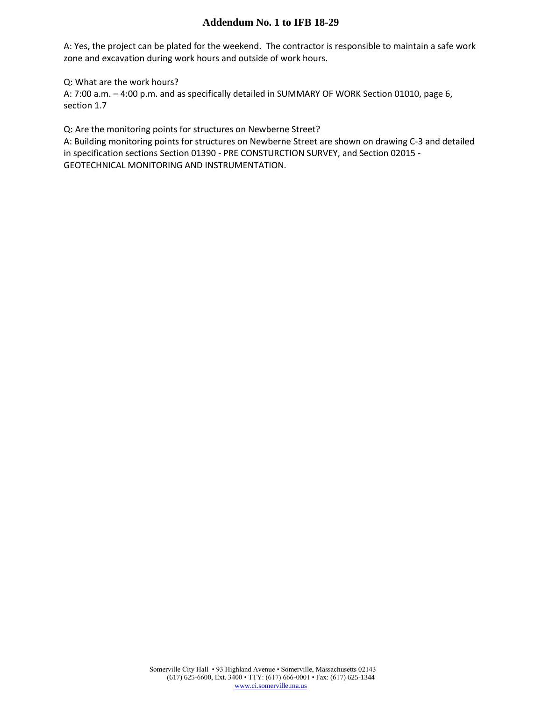### **Addendum No. 1 to IFB 18-29**

A: Yes, the project can be plated for the weekend. The contractor is responsible to maintain a safe work zone and excavation during work hours and outside of work hours.

Q: What are the work hours?

A: 7:00 a.m. – 4:00 p.m. and as specifically detailed in SUMMARY OF WORK Section 01010, page 6, section 1.7

Q: Are the monitoring points for structures on Newberne Street?

A: Building monitoring points for structures on Newberne Street are shown on drawing C-3 and detailed in specification sections Section 01390 - PRE CONSTURCTION SURVEY, and Section 02015 - GEOTECHNICAL MONITORING AND INSTRUMENTATION.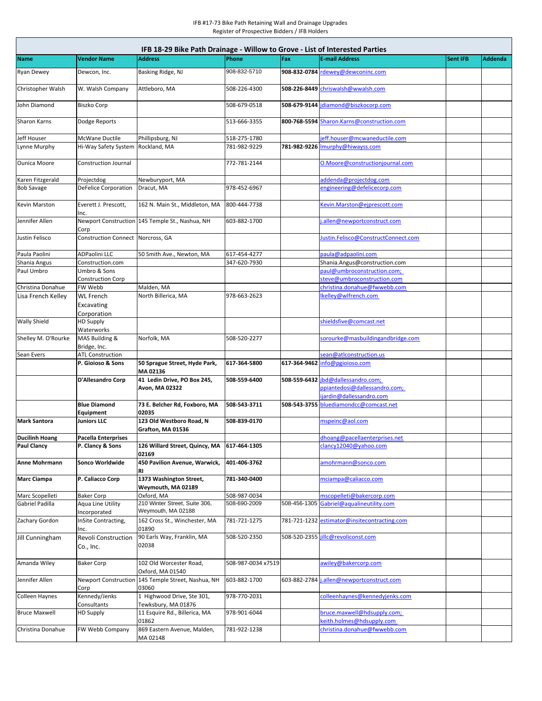| IFB 18-29 Bike Path Drainage - Willow to Grove - List of Interested Parties |                                          |                                                     |                    |              |                                                              |                 |         |  |  |  |  |  |
|-----------------------------------------------------------------------------|------------------------------------------|-----------------------------------------------------|--------------------|--------------|--------------------------------------------------------------|-----------------|---------|--|--|--|--|--|
| Name                                                                        | <b>Vendor Name</b>                       | Address                                             | Phone              | Fax          | <b>E-mail Address</b>                                        | <b>Sent IFB</b> | Addenda |  |  |  |  |  |
| <b>Ryan Dewey</b>                                                           | Dewcon, Inc.                             | Basking Ridge, NJ                                   | 908-832-5710       |              | 908-832-0784 rdewey@dewconinc.com                            |                 |         |  |  |  |  |  |
| Christopher Walsh                                                           | W. Walsh Company                         | Attleboro, MA                                       | 508-226-4300       |              | 508-226-8449 chriswalsh@wwalsh.com                           |                 |         |  |  |  |  |  |
| John Diamond                                                                | <b>Biszko Corp</b>                       |                                                     | 508-679-0518       |              | 508-679-9144 jdiamond@biszkocorp.com                         |                 |         |  |  |  |  |  |
| Sharon Karns                                                                | Dodge Reports                            |                                                     | 513-666-3355       |              | 800-768-5594 Sharon.Karns@construction.com                   |                 |         |  |  |  |  |  |
| Jeff Houser                                                                 | McWane Ductile                           | Phillipsburg, NJ                                    | 518-275-1780       |              | jeff.houser@mcwaneductile.com                                |                 |         |  |  |  |  |  |
| Lynne Murphy                                                                | Hi-Way Safety System                     | Rockland, MA                                        | 781-982-9229       |              | 781-982-9226 Imurphy@hiwayss.com                             |                 |         |  |  |  |  |  |
| <b>Ounica Moore</b>                                                         | Construction Journal                     |                                                     | 772-781-2144       |              | O.Moore@constructionjournal.com                              |                 |         |  |  |  |  |  |
| Karen Fitzgerald                                                            | Projectdog                               | Newburyport, MA                                     |                    |              | addenda@projectdog.com                                       |                 |         |  |  |  |  |  |
| <b>Bob Savage</b>                                                           | <b>DeFelice Corporation</b>              | Dracut, MA                                          | 978-452-6967       |              | engineering@defelicecorp.com                                 |                 |         |  |  |  |  |  |
| Kevin Marston                                                               | Everett J. Prescott,<br>Inc.             | 162 N. Main St., Middleton, MA                      | 800-444-7738       |              | Kevin.Marston@ejprescott.com                                 |                 |         |  |  |  |  |  |
| Jennifer Allen                                                              | Corp                                     | Newport Construction 145 Temple St., Nashua, NH     | 603-882-1700       |              | .allen@newportconstruct.com                                  |                 |         |  |  |  |  |  |
| Justin Felisco                                                              | Construction Connect Norcross, GA        |                                                     |                    |              | lustin.Felisco@ConstructConnect.com                          |                 |         |  |  |  |  |  |
| Paula Paolini                                                               | ADPaolini LLC                            | 50 Smith Ave., Newton, MA                           | 617-454-4277       |              | oaula@adpaolini.com                                          |                 |         |  |  |  |  |  |
| Shania Angus                                                                | Construction.com                         |                                                     | 347-620-7930       |              | Shania.Angus@construction.com<br>paul@umbroconstruction.com; |                 |         |  |  |  |  |  |
| Paul Umbro                                                                  | Umbro & Sons<br><b>Construction Corp</b> |                                                     |                    |              | steve@umbroconstruction.com                                  |                 |         |  |  |  |  |  |
| Christina Donahue                                                           | FW Webb                                  | Malden, MA                                          |                    |              | christina.donahue@fwwebb.com                                 |                 |         |  |  |  |  |  |
| Lisa French Kelley                                                          | <b>WL French</b>                         | North Billerica, MA                                 | 978-663-2623       |              | kelley@wlfrench.com                                          |                 |         |  |  |  |  |  |
|                                                                             | Excavating<br>Corporation                |                                                     |                    |              |                                                              |                 |         |  |  |  |  |  |
| <b>Wally Shield</b>                                                         | <b>HD Supply</b><br>Waterworks           |                                                     |                    |              | shieldsfive@comcast.net                                      |                 |         |  |  |  |  |  |
| Shelley M. O'Rourke                                                         | MAS Building &<br>Bridge, Inc.           | Norfolk, MA                                         | 508-520-2277       |              | sorourke@masbuildingandbridge.com                            |                 |         |  |  |  |  |  |
| Sean Evers                                                                  | <b>ATL Construction</b>                  |                                                     |                    |              | sean@atlconstruction.us                                      |                 |         |  |  |  |  |  |
|                                                                             | P. Gioioso & Sons                        | 50 Sprague Street, Hyde Park,<br>MA 02136           | 617-364-5800       | 617-364-9462 | info@pgioioso.com                                            |                 |         |  |  |  |  |  |
|                                                                             | D'Allesandro Corp                        | 41 Ledin Drive, PO Box 245,<br>Avon, MA 02322       | 508-559-6400       | 508-559-6432 | jbd@dallessandro.com;<br>ppiantedosi@dallessandro.com;       |                 |         |  |  |  |  |  |
|                                                                             | <b>Blue Diamond</b>                      | 73 E. Belcher Rd, Foxboro, MA                       | 508-543-3711       | 508-543-3755 | ijardin@dallessandro.com<br>bluediamondcc@comcast.net        |                 |         |  |  |  |  |  |
| <b>Mark Santora</b>                                                         | Equipment<br><b>Juniors LLC</b>          | 02035<br>123 Old Westboro Road, N                   | 508-839-0170       |              |                                                              |                 |         |  |  |  |  |  |
|                                                                             |                                          | Grafton, MA 01536                                   |                    |              | mspeinc@aol.com                                              |                 |         |  |  |  |  |  |
| <b>Ducilinh Hoang</b>                                                       | <b>Pacella Enterprises</b>               |                                                     |                    |              | dhoang@pacellaenterprises.net                                |                 |         |  |  |  |  |  |
| <b>Paul Clancy</b>                                                          | P. Clancy & Sons                         | 126 Willard Street, Quincy, MA<br>02169             | 617-464-1305       |              | clancy12040@yahoo.com                                        |                 |         |  |  |  |  |  |
| Anne Mohrmann                                                               | Sonco Worldwide                          | 450 Pavilion Avenue. Warwick.<br>RI                 | 401-406-3762       |              | amohrmann@sonco.com                                          |                 |         |  |  |  |  |  |
| <b>Marc Ciampa</b>                                                          | P. Caliacco Corp                         | 1373 Washington Street,<br>Weymouth, MA 02189       | 781-340-0400       |              | mciampa@caliacco.com                                         |                 |         |  |  |  |  |  |
| Marc Scopelleti                                                             | <b>Baker Corp</b>                        | Oxford, MA                                          | 508-987-0034       |              | mscopelleti@bakercorp.com                                    |                 |         |  |  |  |  |  |
| Gabriel Padilla                                                             | Aqua Line Utility<br>Incorporated        | 210 Winter Street, Suite 306,<br>Weymouth, MA 02188 | 508-690-2009       | 508-456-1305 | Gabriel@aqualineutility.com                                  |                 |         |  |  |  |  |  |
| Zachary Gordon                                                              | InSite Contracting,<br>Inc.              | 162 Cross St., Winchester, MA<br>01890              | 781-721-1275       |              | 781-721-1232 estimator@insitecontracting.com                 |                 |         |  |  |  |  |  |
| Jill Cunningham                                                             | <b>Revoli Construction</b><br>Co., Inc.  | 90 Earls Way, Franklin, MA<br>02038                 | 508-520-2350       |              | 508-520-2355 jillc@revoliconst.com                           |                 |         |  |  |  |  |  |
| Amanda Wiley                                                                | <b>Baker Corp</b>                        | 102 Old Worcester Road,<br>Oxford, MA 01540         | 508-987-0034 x7519 |              | awiley@bakercorp.com                                         |                 |         |  |  |  |  |  |
| Jennifer Allen                                                              | <b>Newport Construction</b><br>Corp      | 145 Temple Street, Nashua, NH<br>03060              | 603-882-1700       | 603-882-2784 | .allen@newportconstruct.com                                  |                 |         |  |  |  |  |  |
| <b>Colleen Haynes</b>                                                       | Kennedy/Jenks<br>Consultants             | 1 Highwood Drive, Ste 301,<br>Tewksbury, MA 01876   | 978-770-2031       |              | colleenhaynes@kennedyjenks.com                               |                 |         |  |  |  |  |  |
| <b>Bruce Maxwell</b>                                                        | <b>HD Supply</b>                         | 11 Esquire Rd., Billerica, MA<br>01862              | 978-901-6044       |              | bruce.maxwell@hdsupply.com;<br>ceith.holmes@hdsupply.com     |                 |         |  |  |  |  |  |
| Christina Donahue                                                           | FW Webb Company                          | 869 Eastern Avenue, Malden,                         | 781-922-1238       |              | christina.donahue@fwwebb.com                                 |                 |         |  |  |  |  |  |
|                                                                             |                                          | MA 02148                                            |                    |              |                                                              |                 |         |  |  |  |  |  |